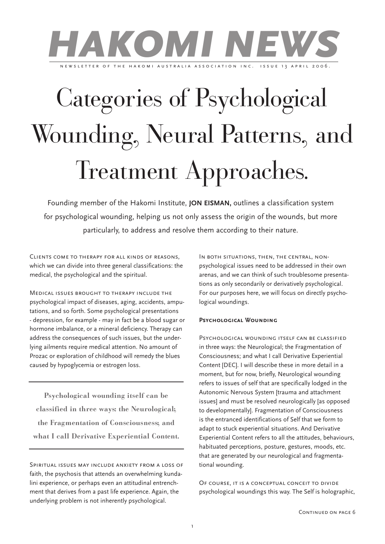

# Categories of Psychological Wounding, Neural Patterns, and Treatment Approaches.

Founding member of the Hakomi Institute, **JON EISMAN,** outlines a classification system for psychological wounding, helping us not only assess the origin of the wounds, but more particularly, to address and resolve them according to their nature.

Clients come to therapy for all kinds of reasons, which we can divide into three general classifications: the medical, the psychological and the spiritual.

Medical issues brought to therapy include the psychological impact of diseases, aging, accidents, amputations, and so forth. Some psychological presentations - depression, for example - may in fact be a blood sugar or hormone imbalance, or a mineral deficiency. Therapy can address the consequences of such issues, but the underlying ailments require medical attention. No amount of Prozac or exploration of childhood will remedy the blues caused by hypoglycemia or estrogen loss.

**Psychological wounding itself can be classified in three ways: the Neurological; the Fragmentation of Consciousness; and what I call Derivative Experiential Content.**

Spiritual issues may include anxiety from a loss of faith, the psychosis that attends an overwhelming kundalini experience, or perhaps even an attitudinal entrenchment that derives from a past life experience. Again, the underlying problem is not inherently psychological.

IN BOTH SITUATIONS, THEN, THE CENTRAL, NONpsychological issues need to be addressed in their own arenas, and we can think of such troublesome presentations as only secondarily or derivatively psychological. For our purposes here, we will focus on directly psychological woundings.

#### **Psychological Wounding**

Psychological wounding itself can be classified in three ways: the Neurological; the Fragmentation of Consciousness; and what I call Derivative Experiential Content [DEC]. I will describe these in more detail in a moment, but for now, briefly, Neurological wounding refers to issues of self that are specifically lodged in the Autonomic Nervous System [trauma and attachment issues] and must be resolved neurologically [as opposed to developmentally]. Fragmentation of Consciousness is the entranced identifications of Self that we form to adapt to stuck experiential situations. And Derivative Experiential Content refers to all the attitudes, behaviours, habituated perceptions, posture, gestures, moods, etc. that are generated by our neurological and fragmentational wounding.

Of course, it is a conceptual conceit to divide psychological woundings this way. The Self is holographic,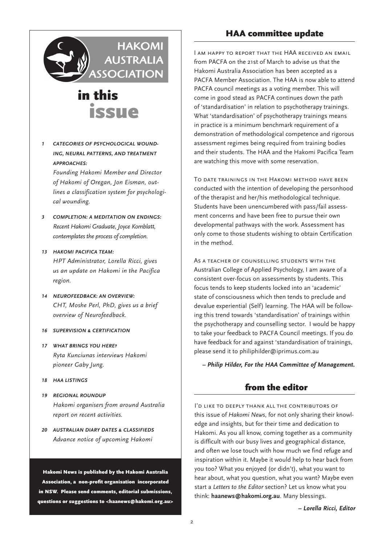

*1 CATEGORIES OF PSYCHOLOGICAL WOUND-ING, NEURAL PATTERNS, AND TREATMENT APPROACHES:*

*Founding Hakomi Member and Director of Hakomi of Oregan, Jon Eisman, outlines a classification system for psychological wounding.*

- *3 COMPLETION: A MEDITATION ON ENDINGS: Recent Hakomi Graduate, Joyce Kornblatt, contemplates the process of completion.*
- *13 HAKOMI PACIFICA TEAM: HPT Administrator, Lorella Ricci, gives us an update on Hakomi in the Pacifica region.*
- *14 NEUROFEEDBACK: AN OVERVIEW: CHT, Moshe Perl, PhD, gives us a brief overview of Neurofeedback.*
- *16 SUPERVISION & CERTIFICATION*
- *17 WHAT BRINGS YOU HERE? Ryta Kunciunas interviews Hakomi pioneer Gaby Jung.*
- *18 HAA LISTINGS*
- *19 REGIONAL ROUNDUP Hakomi organisers from around Australia report on recent activities.*
- *20 AUSTRALIAN DIARY DATES & CLASSIFIEDS Advance notice of upcoming Hakomi*

Hakomi News is published by the Hakomi Australia Association, a non-profit organisation incorporated in NSW. Please send comments, editorial submissions, questions or suggestions to <haanews@hakomi.org.au>

### HAA committee update

I am happy to report that the HAA received an email from PACFA on the 21st of March to advise us that the Hakomi Australia Association has been accepted as a PACFA Member Association. The HAA is now able to attend PACFA council meetings as a voting member. This will come in good stead as PACFA continues down the path of 'standardisation' in relation to psychotherapy trainings. What 'standardisation' of psychotherapy trainings means in practice is a minimum benchmark requirement of a demonstration of methodological competence and rigorous assessment regimes being required from training bodies and their students. The HAA and the Hakomi Pacifica Team are watching this move with some reservation.

To date trainings in the Hakomi method have been conducted with the intention of developing the personhood of the therapist and her/his methodological technique. Students have been unencumbered with pass/fail assessment concerns and have been free to pursue their own developmental pathways with the work. Assessment has only come to those students wishing to obtain Certification in the method.

As a teacher of counselling students with the Australian College of Applied Psychology, I am aware of a consistent over-focus on assessments by students. This focus tends to keep students locked into an 'academic' state of consciousness which then tends to preclude and devalue experiential (Self) learning. The HAA will be following this trend towards 'standardisation' of trainings within the psychotherapy and counselling sector. I would be happy to take your feedback to PACFA Council meetings. If you do have feedback for and against 'standardisation of trainings, please send it to philiphilder@iprimus.com.au

*– Philip Hilder, For the HAA Committee of Management.*

### from the editor

I'd like to deeply thank all the contributors of this issue of *Hakomi News*, for not only sharing their knowledge and insights, but for their time and dedication to Hakomi. As you all know, coming together as a community is difficult with our busy lives and geographical distance, and often we lose touch with how much we find refuge and inspiration within it. Maybe it would help to hear back from you too? What you enjoyed (or didn't), what you want to hear about, what you question, what you want? Maybe even start a *Letters to the Editor* section? Let us know what you think: **haanews@hakomi.org.au**. Many blessings.

*– Lorella Ricci, Editor*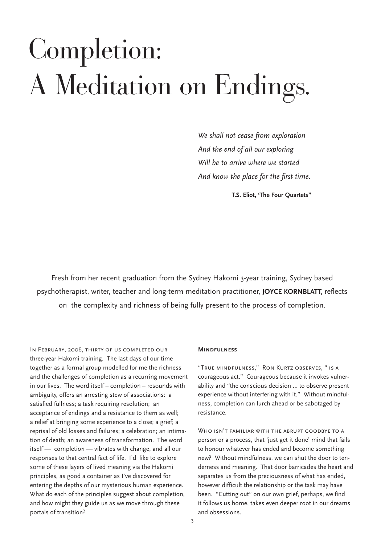# Completion: A Meditation on Endings.

*We shall not cease from exploration And the end of all our exploring Will be to arrive where we started And know the place for the first time.*

 **T.S. Eliot, 'The Four Quartets"**

Fresh from her recent graduation from the Sydney Hakomi 3-year training, Sydney based psychotherapist, writer, teacher and long-term meditation practitioner, **JOYCE KORNBLATT,** reflects on the complexity and richness of being fully present to the process of completion.

In February, 2006, thirty of us completed our three-year Hakomi training. The last days of our time together as a formal group modelled for me the richness and the challenges of completion as a recurring movement in our lives. The word itself – completion – resounds with ambiguity, offers an arresting stew of associations: a satisfied fullness; a task requiring resolution; an acceptance of endings and a resistance to them as well; a relief at bringing some experience to a close; a grief; a reprisal of old losses and failures; a celebration; an intimation of death; an awareness of transformation. The word itself — completion — vibrates with change, and all our responses to that central fact of life. I'd like to explore some of these layers of lived meaning via the Hakomi principles, as good a container as I've discovered for entering the depths of our mysterious human experience. What do each of the principles suggest about completion, and how might they guide us as we move through these portals of transition?

#### **Mindfulness**

"True mindfulness," Ron Kurtz observes, " is a courageous act." Courageous because it invokes vulnerability and "the conscious decision … to observe present experience without interfering with it." Without mindfulness, completion can lurch ahead or be sabotaged by resistance.

WHO ISN'T FAMILIAR WITH THE ABRUPT GOODBYE TO A person or a process, that 'just get it done' mind that fails to honour whatever has ended and become something new? Without mindfulness, we can shut the door to tenderness and meaning. That door barricades the heart and separates us from the preciousness of what has ended, however difficult the relationship or the task may have been. "Cutting out" on our own grief, perhaps, we find it follows us home, takes even deeper root in our dreams and obsessions.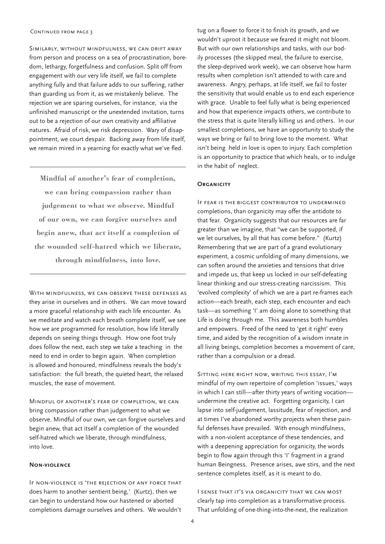Similarly, without mindfulness, we can drift away from person and process on a sea of procrastination, boredom, lethargy, forgetfulness and confusion. Split off from engagement with our very life itself, we fail to complete anything fully and that failure adds to our suffering, rather than guarding us from it, as we mistakenly believe. The rejection we are sparing ourselves, for instance, via the unfinished manuscript or the unextended invitation, turns out to be a rejection of our own creativity and affiliative natures. Afraid of risk, we risk depression. Wary of disappointment, we court despair. Backing away from life itself, we remain mired in a yearning for exactly what we've fled.

**Mindful of another's fear of completion, we can bring compassion rather than judgement to what we observe. Mindful of our own, we can forgive ourselves and begin anew, that act itself a completion of the wounded self-hatred which we liberate, through mindfulness, into love.**

WITH MINDFULNESS, WE CAN OBSERVE THESE DEFENSES AS they arise in ourselves and in others. We can move toward a more graceful relationship with each life encounter. As we meditate and watch each breath complete itself, we see how we are programmed for resolution, how life literally depends on seeing things through. How one foot truly does follow the next, each step we take a teaching in the need to end in order to begin again. When completion is allowed and honoured, mindfulness reveals the body's satisfaction: the full breath, the quieted heart, the relaxed muscles, the ease of movement.

Mindful of another's fear of completion, we can bring compassion rather than judgement to what we observe. Mindful of our own, we can forgive ourselves and begin anew, that act itself a completion of the wounded self-hatred which we liberate, through mindfulness, into love.

#### **Non-violence**

If non-violence is 'the rejection of any force that does harm to another sentient being,' (Kurtz), then we can begin to understand how our hastened or aborted completions damage ourselves and others. We wouldn't tug on a flower to force it to finish its growth, and we wouldn't uproot it because we feared it might not bloom. But with our own relationships and tasks, with our bodily processes (the skipped meal, the failure to exercise, the sleep-deprived work week), we can observe how harm results when completion isn't attended to with care and awareness. Angry, perhaps, at life itself, we fail to foster the sensitivity that would enable us to end each experience with grace. Unable to feel fully what is being experienced and how that experience impacts others, we contribute to the stress that is quite literally killing us and others. In our smallest completions, we have an opportunity to study the ways we bring or fail to bring love to the moment. What isn't being held in love is open to injury. Each completion is an opportunity to practice that which heals, or to indulge in the habit of neglect.

#### **ORGANICITY**

If fear is the biggest contributor to undermined completions, than organicity may offer the antidote to that fear. Organicity suggests that our resources are far greater than we imagine, that "we can be supported, if we let ourselves, by all that has come before." (Kurtz) Remembering that we are part of a grand evolutionary experiment, a cosmic unfolding of many dimensions, we can soften around the anxieties and tensions that drive and impede us, that keep us locked in our self-defeating linear thinking and our stress-creating narcissism. This 'evolved complexity' of which we are a part re-frames each action—each breath, each step, each encounter and each task—as something 'I' am doing alone to something that Life is doing through me. This awareness both humbles and empowers. Freed of the need to 'get it right' every time, and aided by the recognition of a wisdom innate in all living beings, completion becomes a movement of care, rather than a compulsion or a dread.

Sitting here right now, writing this essay, I'm mindful of my own repertoire of completion 'issues,' ways in which I can still—after thirty years of writing vocation undermine the creative act. Forgetting organicity, I can lapse into self-judgement, lassitude, fear of rejection, and at times I've abandoned worthy projects when these painful defenses have prevailed. With enough mindfulness, with a non-violent acceptance of these tendencies, and with a deepening appreciation for organicity, the words begin to flow again through this 'I' fragment in a grand human Beingness. Presence arises, awe stirs, and the next sentence completes itself, as it is meant to do.

I sense that it's via organicity that we can most clearly tap into completion as a transformative process. That unfolding of one-thing-into-the-next, the realization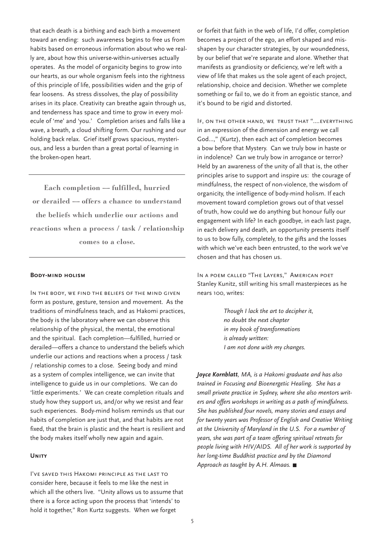that each death is a birthing and each birth a movement toward an ending: such awareness begins to free us from habits based on erroneous information about who we really are, about how this universe-within-universes actually operates. As the model of organicity begins to grow into our hearts, as our whole organism feels into the rightness of this principle of life, possibilities widen and the grip of fear loosens. As stress dissolves, the play of possibility arises in its place. Creativity can breathe again through us, and tenderness has space and time to grow in every molecule of 'me' and 'you.' Completion arises and falls like a wave, a breath, a cloud shifting form. Our rushing and our holding back relax. Grief itself grows spacious, mysterious, and less a burden than a great portal of learning in the broken-open heart.

**Each completion — fulfilled, hurried or derailed — offers a chance to understand the beliefs which underlie our actions and reactions when a process / task / relationship comes to a close.** 

#### **Body-mind holism**

In the body, we find the beliefs of the mind given form as posture, gesture, tension and movement. As the traditions of mindfulness teach, and as Hakomi practices, the body is the laboratory where we can observe this relationship of the physical, the mental, the emotional and the spiritual. Each completion—fulfilled, hurried or derailed—offers a chance to understand the beliefs which underlie our actions and reactions when a process / task / relationship comes to a close. Seeing body and mind as a system of complex intelligence, we can invite that intelligence to guide us in our completions. We can do 'little experiments.' We can create completion rituals and study how they support us, and/or why we resist and fear such experiences. Body-mind holism reminds us that our habits of completion are just that, and that habits are not fixed, that the brain is plastic and the heart is resilient and the body makes itself wholly new again and again.

#### **Unity**

I've saved this Hakomi principle as the last to consider here, because it feels to me like the nest in which all the others live. "Unity allows us to assume that there is a force acting upon the process that 'intends' to hold it together," Ron Kurtz suggests. When we forget

or forfeit that faith in the web of life, I'd offer, completion becomes a project of the ego, an effort shaped and misshapen by our character strategies, by our woundedness, by our belief that we're separate and alone. Whether that manifests as grandiosity or deficiency, we're left with a view of life that makes us the sole agent of each project, relationship, choice and decision. Whether we complete something or fail to, we do it from an egoistic stance, and it's bound to be rigid and distorted.

If, on the other hand, we trust that "….everything in an expression of the dimension and energy we call God…," (Kurtz), then each act of completion becomes a bow before that Mystery. Can we truly bow in haste or in indolence? Can we truly bow in arrogance or terror? Held by an awareness of the unity of all that is, the other principles arise to support and inspire us: the courage of mindfulness, the respect of non-violence, the wisdom of organicity, the intelligence of body-mind holism. If each movement toward completion grows out of that vessel of truth, how could we do anything but honour fully our engagement with life? In each goodbye, in each last page, in each delivery and death, an opportunity presents itself to us to bow fully, completely, to the gifts and the losses with which we've each been entrusted, to the work we've chosen and that has chosen us.

In a poem called "The Layers," American poet Stanley Kunitz, still writing his small masterpieces as he nears 100, writes:

> *Though I lack the art to decipher it, no doubt the next chapter in my book of transformations is already written: I am not done with my changes.*

*Joyce Kornblatt, MA, is a Hakomi graduate and has also trained in Focusing and Bioenergetic Healing. She has a small private practice in Sydney, where she also mentors writers and offers workshops in writing as a path of mindfulness. She has published four novels, many stories and essays and for twenty years was Professor of English and Creative Writing at the University of Maryland in the U.S. For a number of years, she was part of a team offering spiritual retreats for people living with HIV/AIDS. All of her work is supported by her long-time Buddhist practice and by the Diamond Approach as taught by A.H. Almaas.*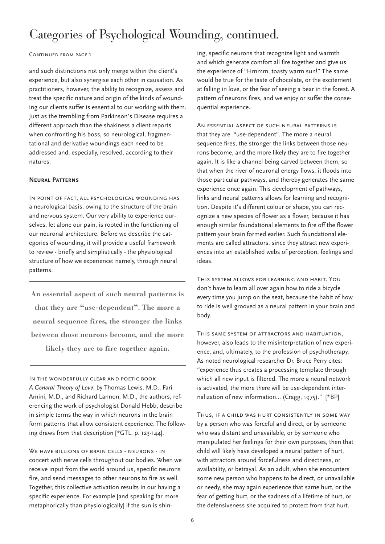## Categories of Psychological Wounding, continued.

#### CONTINUED FROM PAGE 1

and such distinctions not only merge within the client's experience, but also synergise each other in causation. As practitioners, however, the ability to recognize, assess and treat the specific nature and origin of the kinds of wounding our clients suffer is essential to our working with them. Just as the trembling from Parkinson's Disease requires a different approach than the shakiness a client reports when confronting his boss, so neurological, fragmentational and derivative woundings each need to be addressed and, especially, resolved, according to their natures.

#### **Neural Patterns**

In point of fact, all psychological wounding has a neurological basis, owing to the structure of the brain and nervous system. Our very ability to experience ourselves, let alone our pain, is rooted in the functioning of our neuronal architecture. Before we describe the categories of wounding, it will provide a useful framework to review - briefly and simplistically - the physiological structure of how we experience: namely, through neural patterns.

**An essential aspect of such neural patterns is that they are "use-dependent". The more a neural sequence fires, the stronger the links between those neurons become, and the more** 

**likely they are to fire together again.** 

In the wonderfully clear and poetic book *A General Theory of Love*, by Thomas Lewis. M.D., Fari Amini, M.D., and Richard Lannon, M.D., the authors, referencing the work of psychologist Donald Hebb, describe in simple terms the way in which neurons in the brain form patterns that allow consistent experience. The following draws from that description [\*GTL, p. 123-144].

WE HAVE BILLIONS OF BRAIN CELLS - NEURONS - IN concert with nerve cells throughout our bodies. When we receive input from the world around us, specific neurons fire, and send messages to other neurons to fire as well. Together, this collective activation results in our having a specific experience. For example [and speaking far more metaphorically than physiologically] if the sun is shining, specific neurons that recognize light and warmth and which generate comfort all fire together and give us the experience of "Hmmm, toasty warm sun!" The same would be true for the taste of chocolate, or the excitement at falling in love, or the fear of seeing a bear in the forest. A pattern of neurons fires, and we enjoy or suffer the consequential experience.

An essential aspect of such neural patterns is that they are "use-dependent". The more a neural sequence fires, the stronger the links between those neurons become, and the more likely they are to fire together again. It is like a channel being carved between them, so that when the river of neuronal energy flows, it floods into those particular pathways, and thereby generates the same experience once again. This development of pathways, links and neural patterns allows for learning and recognition. Despite it's different colour or shape, you can recognize a new species of flower as a flower, because it has enough similar foundational elements to fire off the flower pattern your brain formed earlier. Such foundational elements are called attractors, since they attract new experiences into an established webs of perception, feelings and ideas.

This system allows for learning and habit. You don't have to learn all over again how to ride a bicycle every time you jump on the seat, because the habit of how to ride is well grooved as a neural pattern in your brain and body.

This same system of attractors and habituation, however, also leads to the misinterpretation of new experience, and, ultimately, to the profession of psychotherapy. As noted neurological researcher Dr. Bruce Perry cites: "experience thus creates a processing template through which all new input is filtered. The more a neural network is activated, the more there will be use-dependent internalization of new information... (Cragg, 1975)." [\*BP]

Thus, if a child was hurt consistently in some way by a person who was forceful and direct, or by someone who was distant and unavailable, or by someone who manipulated her feelings for their own purposes, then that child will likely have developed a neural pattern of hurt, with attractors around forcefulness and directness, or availability, or betrayal. As an adult, when she encounters some new person who happens to be direct, or unavailable or needy, she may again experience that same hurt, or the fear of getting hurt, or the sadness of a lifetime of hurt, or the defensiveness she acquired to protect from that hurt.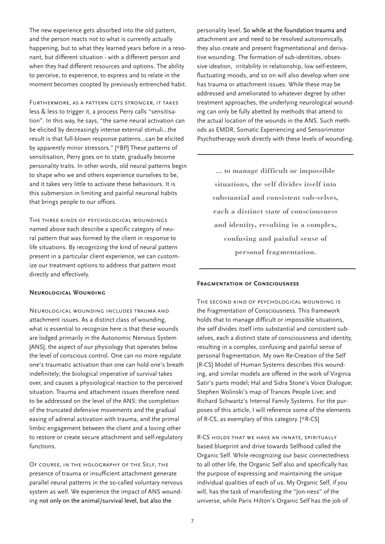The new experience gets absorbed into the old pattern, and the person reacts not to what is currently actually happening, but to what they learned years before in a resonant, but different situation - with a different person and when they had different resources and options. The ability to perceive, to experience, to express and to relate in the moment becomes coopted by previously entrenched habit.

FURTHERMORE, AS A PATTERN GETS STRONGER, IT TAKES less & less to trigger it, a process Perry calls "sensitisation". In this way, he says, "the same neural activation can be elicited by decreasingly intense external stimuli...the result is that full-blown response patterns...can be elicited by apparently minor stressors." [\*BP] These patterns of sensitisation, Perry goes on to state, gradually become personality traits. In other words, old neural patterns begin to shape who we and others experience ourselves to be, and it takes very little to activate these behaviours. It is this submersion in limiting and painful neuronal habits that brings people to our offices.

The three kinds of psychological woundings named above each describe a specific category of neural pattern that was formed by the client in response to life situations. By recognizing the kind of neural pattern present in a particular client experience, we can customize our treatment options to address that pattern most directly and effectively.

#### **Neurological Wounding**

Neurological wounding includes trauma and attachment issues. As a distinct class of wounding, what is essential to recognize here is that these wounds are lodged primarily in the Autonomic Nervous System [ANS], the aspect of our physiology that operates below the level of conscious control. One can no more regulate one's traumatic activation than one can hold one's breath indefinitely; the biological imperative of survival takes over, and causes a physiological reaction to the perceived situation. Trauma and attachment issues therefore need to be addressed on the level of the ANS: the completion of the truncated defensive movements and the gradual easing of adrenal activation with trauma, and the primal limbic engagement between the client and a loving other to restore or create secure attachment and self-regulatory functions.

Of course, in the holography of the Self, the presence of trauma or insufficient attachment generate parallel neural patterns in the so-called voluntary nervous system as well. We experience the impact of ANS wounding not only on the animal/survival level, but also the

personality level. So while at the foundation trauma and attachment are and need to be resolved autonomically, they also create and present fragmentational and derivative wounding. The formation of sub-identities, obsessive ideation, irritability in relationship, low self-esteem, fluctuating moods, and so on will also develop when one has trauma or attachment issues. While these may be addressed and ameliorated to whatever degree by other treatment approaches, the underlying neurological wounding can only be fully abetted by methods that attend to the actual location of the wounds in the ANS. Such methods as EMDR, Somatic Experiencing and Sensorimotor Psychotherapy work directly with these levels of wounding.

> **... to manage difficult or impossible situations, the self divides itself into substantial and consistent sub-selves, each a distinct state of consciousness and identity, resulting in a complex, confusing and painful sense of personal fragmentation.**

#### **Fragmentation of Consciousness**

The second kind of psychological wounding is the Fragmentation of Consciousness. This framework holds that to manage difficult or impossible situations, the self divides itself into substantial and consistent subselves, each a distinct state of consciousness and identity, resulting in a complex, confusing and painful sense of personal fragmentation. My own Re-Creation of the Self [R-CS] Model of Human Systems describes this wounding, and similar models are offered in the work of Virginia Satir's parts model; Hal and Sidra Stone's Voice Dialogue; Stephen Wolinski's map of Trances People Live; and Richard Schwartz's Internal Family Systems. For the purposes of this article, I will reference some of the elements of R-CS, as exemplary of this category. [\*R-CS]

R-CS holds that we have an innate, spiritually based blueprint and drive towards Selfhood called the Organic Self. While recognizing our basic connectedness to all other life, the Organic Self also and specifically has the purpose of expressing and maintaining the unique individual qualities of each of us. My Organic Self, if you will, has the task of manifesting the "Jon-ness" of the universe, while Paris Hilton's Organic Self has the job of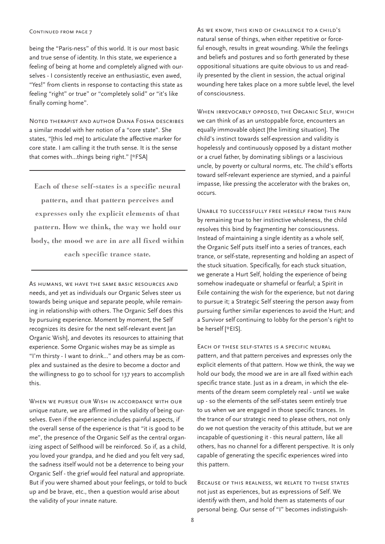being the "Paris-ness" of this world. It is our most basic and true sense of identity. In this state, we experience a feeling of being at home and completely aligned with ourselves - I consistently receive an enthusiastic, even awed, "Yes!" from clients in response to contacting this state as feeling "right" or true" or "completely solid" or "it's like finally coming home".

Noted therapist and author Diana Fosha describes a similar model with her notion of a "core state". She states, "[this led me] to articulate the affective marker for core state. I am calling it the truth sense. It is the sense that comes with...things being right." [\*FSA]

**Each of these self-states is a specific neural pattern, and that pattern perceives and expresses only the explicit elements of that pattern. How we think, the way we hold our body, the mood we are in are all fixed within each specific trance state.**

As humans, we have the same basic resources and needs, and yet as individuals our Organic Selves steer us towards being unique and separate people, while remaining in relationship with others. The Organic Self does this by pursuing experience. Moment by moment, the Self recognizes its desire for the next self-relevant event [an Organic Wish], and devotes its resources to attaining that experience. Some Organic wishes may be as simple as "I'm thirsty - I want to drink..." and others may be as complex and sustained as the desire to become a doctor and the willingness to go to school for 137 years to accomplish this.

WHEN WE PURSUE OUR WISH IN ACCORDANCE WITH OUR unique nature, we are affirmed in the validity of being ourselves. Even if the experience includes painful aspects, if the overall sense of the experience is that "it is good to be me", the presence of the Organic Self as the central organizing aspect of Selfhood will be reinforced. So if, as a child, you loved your grandpa, and he died and you felt very sad, the sadness itself would not be a deterrence to being your Organic Self - the grief would feel natural and appropriate. But if you were shamed about your feelings, or told to buck up and be brave, etc., then a question would arise about the validity of your innate nature.

As we know, this kind of challenge to a child's natural sense of things, when either repetitive or forceful enough, results in great wounding. While the feelings and beliefs and postures and so forth generated by these oppositional situations are quite obvious to us and readily presented by the client in session, the actual original wounding here takes place on a more subtle level, the level of consciousness.

When irrevocably opposed, the Organic Self, which we can think of as an unstoppable force, encounters an equally immovable object [the limiting situation]. The child's instinct towards self-expression and validity is hopelessly and continuously opposed by a distant mother or a cruel father, by dominating siblings or a lascivious uncle, by poverty or cultural norms, etc. The child's efforts toward self-relevant experience are stymied, and a painful impasse, like pressing the accelerator with the brakes on, occurs.

Unable to successfully free herself from this pain by remaining true to her instinctive wholeness, the child resolves this bind by fragmenting her consciousness. Instead of maintaining a single identity as a whole self, the Organic Self puts itself into a series of trances, each trance, or self-state, representing and holding an aspect of the stuck situation. Specifically, for each stuck situation, we generate a Hurt Self, holding the experience of being somehow inadequate or shameful or fearful; a Spirit in Exile containing the wish for the experience, but not daring to pursue it; a Strategic Self steering the person away from pursuing further similar experiences to avoid the Hurt; and a Survivor self continuing to lobby for the person's right to be herself [\*EIS].

Each of these self-states is a specific neural pattern, and that pattern perceives and expresses only the explicit elements of that pattern. How we think, the way we hold our body, the mood we are in are all fixed within each specific trance state. Just as in a dream, in which the elements of the dream seem completely real - until we wake up - so the elements of the self-states seem entirely true to us when we are engaged in those specific trances. In the trance of our strategic need to please others, not only do we not question the veracity of this attitude, but we are incapable of questioning it - this neural pattern, like all others, has no channel for a different perspective. It is only capable of generating the specific experiences wired into this pattern.

Because of this realness, we relate to these states not just as experiences, but as expressions of Self. We identify with them, and hold them as statements of our personal being. Our sense of "I" becomes indistinguish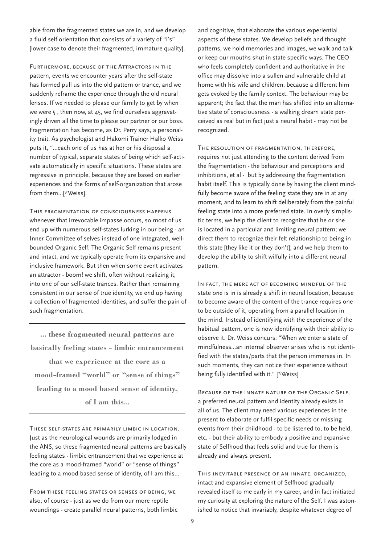able from the fragmented states we are in, and we develop a fluid self orientation that consists of a variety of "i's" [lower case to denote their fragmented, immature quality].

FURTHERMORE, BECAUSE OF THE ATTRACTORS IN THE pattern, events we encounter years after the self-state has formed pull us into the old pattern or trance, and we suddenly reframe the experience through the old neural lenses. If we needed to please our family to get by when we were 5 , then now, at 45, we find ourselves aggravatingly driven all the time to please our partner or our boss. Fragmentation has become, as Dr. Perry says, a personality trait. As psychologist and Hakomi Trainer Halko Weiss puts it, "...each one of us has at her or his disposal a number of typical, separate states of being which self-activate automatically in specific situations. These states are regressive in principle, because they are based on earlier experiences and the forms of self-organization that arose from them...[\*Weiss].

This fragmentation of consciousness happens whenever that irrevocable impasse occurs, so most of us end up with numerous self-states lurking in our being - an Inner Committee of selves instead of one integrated, wellbounded Organic Self. The Organic Self remains present and intact, and we typically operate from its expansive and inclusive framework. But then when some event activates an attractor - boom! we shift, often without realizing it, into one of our self-state trances. Rather than remaining consistent in our sense of true identity, we end up having a collection of fragmented identities, and suffer the pain of such fragmentation.

**... these fragmented neural patterns are basically feeling states - limbic entrancement that we experience at the core as a mood-framed "world" or "sense of things" leading to a mood based sense of identity, of I am this...**

These self-states are primarily limbic in location. Just as the neurological wounds are primarily lodged in the ANS, so these fragmented neural patterns are basically feeling states - limbic entrancement that we experience at the core as a mood-framed "world" or "sense of things" leading to a mood based sense of identity, of I am this...

From these feeling states or senses of being, we also, of course - just as we do from our more reptile woundings - create parallel neural patterns, both limbic

and cognitive, that elaborate the various experiential aspects of these states. We develop beliefs and thought patterns, we hold memories and images, we walk and talk or keep our mouths shut in state specific ways. The CEO who feels completely confident and authoritative in the office may dissolve into a sullen and vulnerable child at home with his wife and children, because a different him gets evoked by the family context. The behaviour may be apparent; the fact that the man has shifted into an alternative state of consciousness - a walking dream state perceived as real but in fact just a neural habit - may not be recognized.

The resolution of fragmentation, therefore, requires not just attending to the content derived from the fragmentation - the behaviour and perceptions and inhibitions, et al - but by addressing the fragmentation habit itself. This is typically done by having the client mindfully become aware of the feeling state they are in at any moment, and to learn to shift deliberately from the painful feeling state into a more preferred state. In overly simplistic terms, we help the client to recognize that he or she is located in a particular and limiting neural pattern; we direct them to recognize their felt relationship to being in this state [they like it or they don't]; and we help them to develop the ability to shift wilfully into a different neural pattern.

In fact, the mere act of becoming mindful of the state one is in is already a shift in neural location, because to become aware of the content of the trance requires one to be outside of it, operating from a parallel location in the mind. Instead of identifying with the experience of the habitual pattern, one is now identifying with their ability to observe it. Dr. Weiss concurs: "When we enter a state of mindfulness...an internal observer arises who is not identified with the states/parts that the person immerses in. In such moments, they can notice their experience without being fully identified with it." [\*Weiss]

BECAUSE OF THE INNATE NATURE OF THE ORGANIC SELF, a preferred neural pattern and identity already exists in all of us. The client may need various experiences in the present to elaborate or fulfil specific needs or missing events from their childhood - to be listened to, to be held, etc. - but their ability to embody a positive and expansive state of Selfhood that feels solid and true for them is already and always present.

This inevitable presence of an innate, organized, intact and expansive element of Selfhood gradually revealed itself to me early in my career, and in fact initiated my curiosity at exploring the nature of the Self. I was astonished to notice that invariably, despite whatever degree of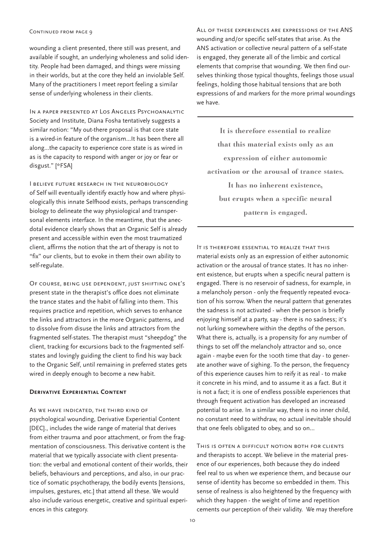wounding a client presented, there still was present, and available if sought, an underlying wholeness and solid identity. People had been damaged, and things were missing in their worlds, but at the core they held an inviolable Self. Many of the practitioners I meet report feeling a similar sense of underlying wholeness in their clients.

In a paper presented at Los Angeles Psychoanalytic Society and Institute, Diana Fosha tentatively suggests a similar notion: "My out-there proposal is that core state is a wired-in feature of the organism...It has been there all along...the capacity to experience core state is as wired in as is the capacity to respond with anger or joy or fear or disgust." [\*FSA]

I believe future research in the neurobiology of Self will eventually identify exactly how and where physiologically this innate Selfhood exists, perhaps transcending biology to delineate the way physiological and transpersonal elements interface. In the meantime, that the anecdotal evidence clearly shows that an Organic Self is already present and accessible within even the most traumatized client, affirms the notion that the art of therapy is not to "fix" our clients, but to evoke in them their own ability to self-regulate.

Of course, being use dependent, just shifting one's present state in the therapist's office does not eliminate the trance states and the habit of falling into them. This requires practice and repetition, which serves to enhance the links and attractors in the more Organic patterns, and to dissolve from disuse the links and attractors from the fragmented self-states. The therapist must "sheepdog" the client, tracking for excursions back to the fragmented selfstates and lovingly guiding the client to find his way back to the Organic Self, until remaining in preferred states gets wired in deeply enough to become a new habit.

#### **Derivative Experiential Content**

As we have indicated, the third kind of psychological wounding, Derivative Experiential Content [DEC]., includes the wide range of material that derives from either trauma and poor attachment, or from the fragmentation of consciousness. This derivative content is the material that we typically associate with client presentation: the verbal and emotional content of their worlds, their beliefs, behaviours and perceptions, and also, in our practice of somatic psychotherapy, the bodily events [tensions, impulses, gestures, etc.] that attend all these. We would also include various energetic, creative and spiritual experiences in this category.

All of these experiences are expressions of the ANS wounding and/or specific self-states that arise. As the ANS activation or collective neural pattern of a self-state is engaged, they generate all of the limbic and cortical elements that comprise that wounding. We then find ourselves thinking those typical thoughts, feelings those usual feelings, holding those habitual tensions that are both expressions of and markers for the more primal woundings we have.

**It is therefore essential to realize that this material exists only as an expression of either autonomic activation or the arousal of trance states. It has no inherent existence, but erupts when a specific neural pattern is engaged.** 

It is therefore essential to realize that this material exists only as an expression of either autonomic activation or the arousal of trance states. It has no inherent existence, but erupts when a specific neural pattern is engaged. There is no reservoir of sadness, for example, in a melancholy person - only the frequently repeated evocation of his sorrow. When the neural pattern that generates the sadness is not activated - when the person is briefly enjoying himself at a party, say - there is no sadness; it's not lurking somewhere within the depths of the person. What there is, actually, is a propensity for any number of things to set off the melancholy attractor and so, once again - maybe even for the 100th time that day - to generate another wave of sighing. To the person, the frequency of this experience causes him to reify it as real - to make it concrete in his mind, and to assume it as a fact. But it is not a fact; it is one of endless possible experiences that through frequent activation has developed an increased potential to arise. In a similar way, there is no inner child, no constant need to withdraw, no actual inevitable should that one feels obligated to obey, and so on...

This is often a difficult notion both for clients and therapists to accept. We believe in the material presence of our experiences, both because they do indeed feel real to us when we experience them, and because our sense of identity has become so embedded in them. This sense of realness is also heightened by the frequency with which they happen - the weight of time and repetition cements our perception of their validity. We may therefore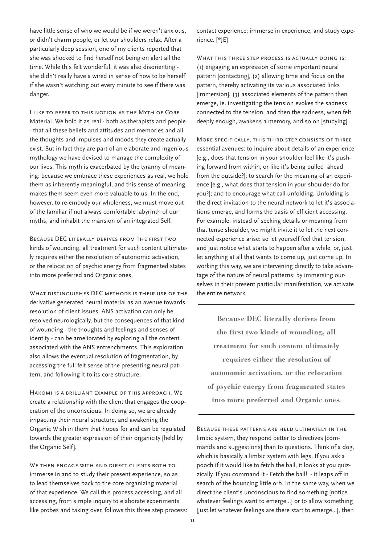have little sense of who we would be if we weren't anxious, or didn't charm people, or let our shoulders relax. After a particularly deep session, one of my clients reported that she was shocked to find herself not being on alert all the time. While this felt wonderful, it was also disorienting she didn't really have a wired in sense of how to be herself if she wasn't watching out every minute to see if there was danger.

I like to refer to this notion as the Myth of Core Material. We hold it as real - both as therapists and people - that all these beliefs and attitudes and memories and all the thoughts and impulses and moods they create actually exist. But in fact they are part of an elaborate and ingenious mythology we have devised to manage the complexity of our lives. This myth is exacerbated by the tyranny of meaning: because we embrace these experiences as real, we hold them as inherently meaningful, and this sense of meaning makes them seem even more valuable to us. In the end, however, to re-embody our wholeness, we must move out of the familiar if not always comfortable labyrinth of our myths, and inhabit the mansion of an integrated Self.

Because DEC literally derives from the first two kinds of wounding, all treatment for such content ultimately requires either the resolution of autonomic activation, or the relocation of psychic energy from fragmented states into more preferred and Organic ones.

WHAT DISTINGUISHES DEC METHODS IS THEIR USE OF THE derivative generated neural material as an avenue towards resolution of client issues. ANS activation can only be resolved neurologically, but the consequences of that kind of wounding - the thoughts and feelings and senses of identity - can be ameliorated by exploring all the content associated with the ANS entrenchments. This exploration also allows the eventual resolution of fragmentation, by accessing the full felt sense of the presenting neural pattern, and following it to its core structure.

Hakomi is a brilliant example of this approach. We create a relationship with the client that engages the cooperation of the unconscious. In doing so, we are already impacting their neural structure, and awakening the Organic Wish in them that hopes for and can be regulated towards the greater expression of their organicity [held by the Organic Self].

WE THEN ENGAGE WITH AND DIRECT CLIENTS BOTH TO immerse in and to study their present experience, so as to lead themselves back to the core organizing material of that experience. We call this process accessing, and all accessing, from simple inquiry to elaborate experiments like probes and taking over, follows this three step process: contact experience; immerse in experience; and study experience. [\*JE]

WHAT THIS THREE STEP PROCESS IS ACTUALLY DOING IS: (1) engaging an expression of some important neural pattern [contacting], (2) allowing time and focus on the pattern, thereby activating its various associated links [immersion], (3) associated elements of the pattern then emerge, ie. investigating the tension evokes the sadness connected to the tension, and then the sadness, when felt deeply enough, awakens a memory, and so on [studying] .

More specifically, this third step consists of three essential avenues: to inquire about details of an experience [e.g., does that tension in your shoulder feel like it's pushing forward from within, or like it's being pulled ahead from the outside?]; to search for the meaning of an experience [e.g., what does that tension in your shoulder do for you?]; and to encourage what call unfolding. Unfolding is the direct invitation to the neural network to let it's associations emerge, and forms the basis of efficient accessing. For example, instead of seeking details or meaning from that tense shoulder, we might invite it to let the next connected experience arise: so let yourself feel that tension, and just notice what starts to happen after a while, or, just let anything at all that wants to come up, just come up. In working this way, we are intervening directly to take advantage of the nature of neural patterns: by immersing ourselves in their present particular manifestation, we activate the entire network.

**Because DEC literally derives from the first two kinds of wounding, all treatment for such content ultimately requires either the resolution of autonomic activation, or the relocation of psychic energy from fragmented states into more preferred and Organic ones.** 

Because these patterns are held ultimately in the limbic system, they respond better to directives [commands and suggestions] than to questions. Think of a dog, which is basically a limbic system with legs. If you ask a pooch if it would like to fetch the ball, it looks at you quizzically. If you command it - Fetch the ball! - it leaps off in search of the bouncing little orb. In the same way, when we direct the client's unconscious to find something [notice whatever feelings want to emerge...] or to allow something [just let whatever feelings are there start to emerge...], then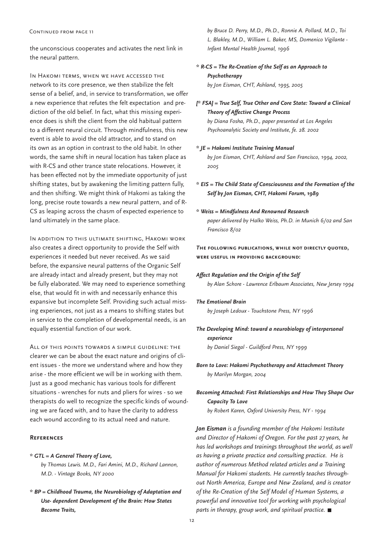the unconscious cooperates and activates the next link in the neural pattern.

In Hakomi terms, when we have accessed the network to its core presence, we then stabilize the felt sense of a belief, and, in service to transformation, we offer a new experience that refutes the felt expectation and prediction of the old belief. In fact, what this missing experience does is shift the client from the old habitual pattern to a different neural circuit. Through mindfulness, this new event is able to avoid the old attractor, and to stand on its own as an option in contrast to the old habit. In other words, the same shift in neural location has taken place as with R-CS and other trance state relocations. However, it has been effected not by the immediate opportunity of just shifting states, but by awakening the limiting pattern fully, and then shifting. We might think of Hakomi as taking the long, precise route towards a new neural pattern, and of R-CS as leaping across the chasm of expected experience to land ultimately in the same place.

In addition to this ultimate shifting, Hakomi work also creates a direct opportunity to provide the Self with experiences it needed but never received. As we said before, the expansive neural patterns of the Organic Self are already intact and already present, but they may not be fully elaborated. We may need to experience something else, that would fit in with and necessarily enhance this expansive but incomplete Self. Providing such actual missing experiences, not just as a means to shifting states but in service to the completion of developmental needs, is an equally essential function of our work.

All of this points towards a simple guideline: the clearer we can be about the exact nature and origins of client issues - the more we understand where and how they arise - the more efficient we will be in working with them. Just as a good mechanic has various tools for different situations - wrenches for nuts and pliers for wires - so we therapists do well to recognize the specific kinds of wounding we are faced with, and to have the clarity to address each wound according to its actual need and nature.

#### **References**

#### *\* GTL = A General Theory of Love,*

*by Thomas Lewis. M.D., Fari Amini, M.D., Richard Lannon, M.D. - Vintage Books, NY 2000* 

*\* BP = Childhood Trauma, the Neurobiology of Adaptation and Use- dependent Development of the Brain: How States Become Traits,* 

*by Bruce D. Perry, M.D., Ph.D., Ronnie A. Pollard, M.D., Toi L. Blakley, M.D., William L. Baker, MS, Domenico Vigilante - Infant Mental Health Journal, 1996*

- *\* R-CS = The Re-Creation of the Self as an Approach to Psychotherapy by Jon Eisman, CHT, Ashland, 1995, 2005*
- *[\* FSA] = True Self, True Other and Core State: Toward a Clinical Theory of Affective Change Process by Diana Fosha, Ph.D., paper presented at Los Angeles*

*Psychoanalytic Society and Institute, fe. 28. 2002*

#### *\* JE = Hakomi Institute Training Manual*

*by Jon Eisman, CHT, Ashland and San Francisco, 1994, 2002, 2005*

*\* EIS = The Child State of Consciousness and the Formation of the Self by Jon Eisman, CHT, Hakomi Forum, 1989*

*\* Weiss = Mindfulness And Renowned Research paper delivered by Halko Weiss, Ph.D. in Munich 6/02 and San Francisco 8/02*

*T***he following publications, while not directly quoted, were useful in providing background:**

*Affect Regulation and the Origin of the Self*

*by Alan Schore - Lawrence Erlbaum Associates, New Jersey 1994*

#### *The Emotional Brain*

*by Joseph Ledoux - Touchstone Press, NY 1996*

*The Developing Mind: toward a neurobiology of interpersonal experience by Daniel Siegal - Guildford Press, NY 1999*

*Born to Love: Hakomi Psychotherapy and Attachment Theory by Marilyn Morgan, 2004*

*Becoming Attached: First Relationships and How They Shape Our Capacity To Love by Robert Karen, Oxford University Press, NY - 1994*

*Jon Eisman is a founding member of the Hakomi Institute and Director of Hakomi of Oregon. For the past 27 years, he has led workshops and trainings throughout the world, as well as having a private practice and consulting practice. He is author of numerous Method related articles and a Training Manual for Hakomi students. He currently teaches throughout North America, Europe and New Zealand, and is creator of the Re-Creation of the Self Model of Human Systems, a powerful and innovative tool for working with psychological parts in therapy, group work, and spiritual practice.*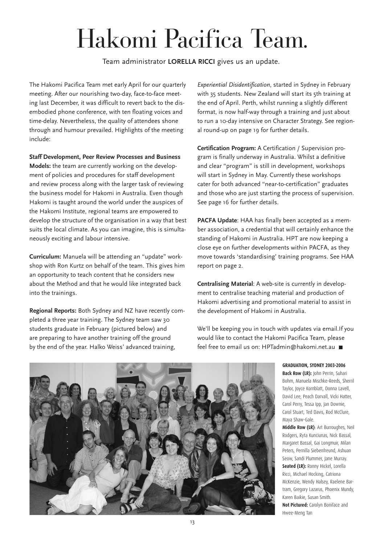# Hakomi Pacifica Team.

Team administrator **LORELLA RICCI** gives us an update.

The Hakomi Pacifica Team met early April for our quarterly meeting. After our nourishing two-day, face-to-face meeting last December, it was difficult to revert back to the disembodied phone conference, with ten floating voices and time-delay. Nevertheless, the quality of attendees shone through and humour prevailed. Highlights of the meeting include:

**Staff Development, Peer Review Processes and Business Models:** the team are currently working on the development of policies and procedures for staff development and review process along with the larger task of reviewing the business model for Hakomi in Australia. Even though Hakomi is taught around the world under the auspices of the Hakomi Institute, regional teams are empowered to develop the structure of the organisation in a way that best suits the local climate. As you can imagine, this is simultaneously exciting and labour intensive.

**Curriculum:** Manuela will be attending an "update" workshop with Ron Kurtz on behalf of the team. This gives him an opportunity to teach content that he considers new about the Method and that he would like integrated back into the trainings.

**Regional Reports:** Both Sydney and NZ have recently completed a three year training. The Sydney team saw 30 students graduate in February (pictured below) and are preparing to have another training off the ground by the end of the year. Halko Weiss' advanced training,

*Experiential Disidentification*, started in Sydney in February with 35 students. New Zealand will start its 5th training at the end of April. Perth, whilst running a slightly different format, is now half-way through a training and just about to run a 10-day intensive on Character Strategy. See regional round-up on page 19 for further details.

**Certification Program:** A Certification / Supervision program is finally underway in Australia. Whilst a definitive and clear "program" is still in development, workshops will start in Sydney in May. Currently these workshops cater for both advanced "near-to-certification" graduates and those who are just starting the process of supervision. See page 16 for further details.

**PACFA Update**: HAA has finally been accepted as a member association, a credential that will certainly enhance the standing of Hakomi in Australia. HPT are now keeping a close eye on further developments within PACFA, as they move towards 'standardising' training programs. See HAA report on page 2.

**Centralising Material**: A web-site is currently in development to centralise teaching material and production of Hakomi advertising and promotional material to assist in the development of Hakomi in Australia.

We'll be keeping you in touch with updates via email.If you would like to contact the Hakomi Pacifica Team, please feel free to email us on: HPTadmin@hakomi.net.au



**GRADUATION, SYDNEY 2003-2006 Back Row (LR): John Perrin, Suhari** Bohm, Manuela Mischke-Reeds, Sherril Taylor, Joyce Kornblatt, Donna Lavell, David Lee, Peach Darvall, Vicki Hatter, Carol Perry, Tessa Ipp, Jan Downie, Carol Stuart, Ted Davis, Rod McClure, Maya Shaw-Gale.

**Middle Row (LR)**: Art Burroughes, Neil Rodgers, Ryta Kunciunas, Nick Bassal, Margaret Bassal, Gai Longmuir, Milan Peters, Pernilla Siebenfreund, Ashuan Seow, Sandi Plummer, Jane Murray. **Seated (LR): Ronny Hickel, Lorella** Ricci, Michael Hocking, Catriona McKenzie, Wendy Halsey, Raelene Bartram, Gregory Lazarus, Phoenix Mundy, Karen Baikie, Susan Smith. **Not Pictured:** Carolyn Boniface and Hwee-Meng Tan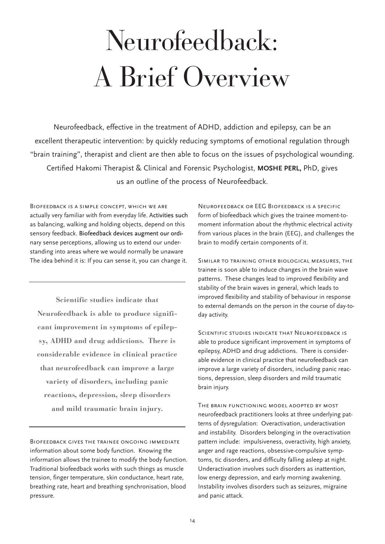# Neurofeedback: A Brief Overview

Neurofeedback, effective in the treatment of ADHD, addiction and epilepsy, can be an excellent therapeutic intervention: by quickly reducing symptoms of emotional regulation through "brain training", therapist and client are then able to focus on the issues of psychological wounding. Certified Hakomi Therapist & Clinical and Forensic Psychologist, **MOSHE PERL,** PhD, gives us an outline of the process of Neurofeedback.

Biofeedback is a simple concept, which we are actually very familiar with from everyday life. Activities such as balancing, walking and holding objects, depend on this sensory feedback. Biofeedback devices augment our ordinary sense perceptions, allowing us to extend our understanding into areas where we would normally be unaware The idea behind it is: If you can sense it, you can change it.

**Scientific studies indicate that Neurofeedback is able to produce significant improvement in symptoms of epilepsy, ADHD and drug addictions. There is considerable evidence in clinical practice that neurofeedback can improve a large variety of disorders, including panic reactions, depression, sleep disorders and mild traumatic brain injury.**

Biofeedback gives the trainee ongoing immediate information about some body function. Knowing the information allows the trainee to modify the body function. Traditional biofeedback works with such things as muscle tension, finger temperature, skin conductance, heart rate, breathing rate, heart and breathing synchronisation, blood pressure.

Neurofeedback or EEG Biofeedback is a specific form of biofeedback which gives the trainee moment-tomoment information about the rhythmic electrical activity from various places in the brain (EEG), and challenges the brain to modify certain components of it.

Similar to training other biological measures, the trainee is soon able to induce changes in the brain wave patterns. These changes lead to improved flexibility and stability of the brain waves in general, which leads to improved flexibility and stability of behaviour in response to external demands on the person in the course of day-today activity.

SCIENTIFIC STUDIES INDICATE THAT NEUROFEEDBACK IS able to produce significant improvement in symptoms of epilepsy, ADHD and drug addictions. There is considerable evidence in clinical practice that neurofeedback can improve a large variety of disorders, including panic reactions, depression, sleep disorders and mild traumatic brain injury.

The brain functioning model adopted by most neurofeedback practitioners looks at three underlying patterns of dysregulation: Overactivation, underactivation and instability. Disorders belonging in the overactivation pattern include: impulsiveness, overactivity, high anxiety, anger and rage reactions, obsessive-compulsive symptoms, tic disorders, and difficulty falling asleep at night. Underactivation involves such disorders as inattention, low energy depression, and early morning awakening. Instability involves disorders such as seizures, migraine and panic attack.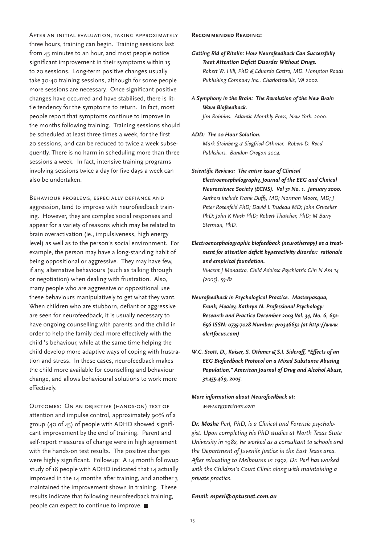After an initial evaluation, taking approximately three hours, training can begin. Training sessions last from 45 minutes to an hour, and most people notice significant improvement in their symptoms within 15 to 20 sessions. Long-term positive changes usually take 30-40 training sessions, although for some people more sessions are necessary. Once significant positive changes have occurred and have stabilised, there is little tendency for the symptoms to return. In fact, most people report that symptoms continue to improve in the months following training. Training sessions should be scheduled at least three times a week, for the first 20 sessions, and can be reduced to twice a week subsequently. There is no harm in scheduling more than three sessions a week. In fact, intensive training programs involving sessions twice a day for five days a week can also be undertaken.

Behaviour problems, especially defiance and aggression, tend to improve with neurofeedback training. However, they are complex social responses and appear for a variety of reasons which may be related to brain overactivation (ie., impulsiveness, high energy level) as well as to the person's social environment. For example, the person may have a long-standing habit of being oppositional or aggressive. They may have few, if any, alternative behaviours (such as talking through or negotiation) when dealing with frustration. Also, many people who are aggressive or oppositional use these behaviours manipulatively to get what they want. When children who are stubborn, defiant or aggressive are seen for neurofeedback, it is usually necessary to have ongoing counselling with parents and the child in order to help the family deal more effectively with the child 's behaviour, while at the same time helping the child develop more adaptive ways of coping with frustration and stress. In these cases, neurofeedback makes the child more available for counselling and behaviour change, and allows behavioural solutions to work more effectively.

Outcomes: On an objective (hands-on) test of attention and impulse control, approximately 90% of a group (40 of 45) of people with ADHD showed significant improvement by the end of training. Parent and self-report measures of change were in high agreement with the hands-on test results. The positive changes were highly significant. Followup: A 14 month followup study of 18 people with ADHD indicated that 14 actually improved in the 14 months after training, and another 3 maintained the improvement shown in training. These results indicate that following neurofeedback training, people can expect to continue to improve.

#### **Recommended Reading:**

- *Getting Rid of Ritalin: How Neurofeedback Can Successfully Treat Attention Deficit Disorder Without Drugs. Robert W. Hill, PhD & Eduardo Castro, MD. Hampton Roads Publishing Company Inc., Charlottesville, VA 2002.*
- *A Symphony in the Brain: The Revolution of the New Brain Wave Biofeedback.*

*Jim Robbins. Atlantic Monthly Press, New York. 2000.*

*ADD: The 20 Hour Solution.* 

*Mark Steinberg & Siegfried Othmer. Robert D. Reed Publishers. Bandon Oregon 2004.*

- *Scientific Reviews: The entire issue of Clinical Electroencephalography, Journal of the EEG and Clinical Neuroscience Society (ECNS). Vol 31 No. 1. January 2000. Authors include Frank Duffy, MD; Norman Moore, MD; J Peter Rosenfeld PhD; David L Trudeau MD; John Gruzelier PhD; John K Nash PhD; Robert Thatcher, PhD; M Barry Sterman, PhD.*
- *Electroencephalographic biofeedback (neurotherapy) as a treatment for attention deficit hyperactivity disorder: rationale and empirical foundation.*

*Vincent J Monastra, Child Adolesc Psychiatric Clin N Am 14 (2005), 55-82*

- *Neurofeedback in Psychological Practice. Masterpasqua, Frank; Healey, Kathryn N. Professional Psychology: Research and Practice December 2003 Vol. 34, No. 6, 652- 656 ISSN: 0735-7028 Number: pro346652 (at http://www. alertfocus.com)*
- *W.C. Scott, D., Kaiser, S. Othmer & S.I. Sideroff, "Effects of an EEG Biofeedback Protocol on a Mixed Substance Abusing Population," American Journal of Drug and Alcohol Abuse, 31:455-469, 2005.*

*More information about Neurofeedback at: www.eegspectrum.com*

*Dr. Moshe Perl, PhD, is a Clinical and Forensic psychologist. Upon completing his PhD studies at North Texas State University in 1982, he worked as a consultant to schools and the Department of Juvenile Justice in the East Texas area. After relocating to Melbourne in 1992, Dr. Perl has worked with the Children's Court Clinic along with maintaining a private practice.* 

#### *Email: mperl@optusnet.com.au*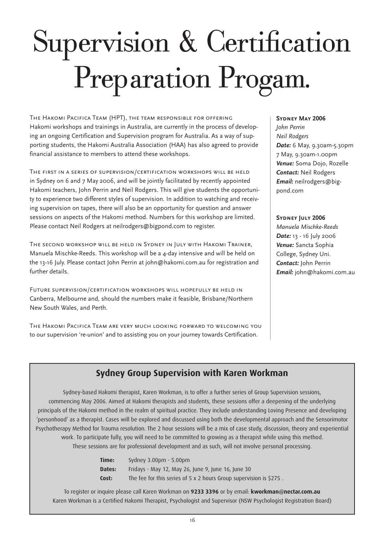# Supervision & Certification Preparation Progam.

The Hakomi Pacifica Team (HPT), the team responsible for offering Hakomi workshops and trainings in Australia, are currently in the process of developing an ongoing Certification and Supervision program for Australia. As a way of supporting students, the Hakomi Australia Association (HAA) has also agreed to provide financial assistance to members to attend these workshops.

The first in a series of supervision/certification workshops will be held in Sydney on 6 and 7 May 2006, and will be jointly facilitated by recently appointed Hakomi teachers, John Perrin and Neil Rodgers. This will give students the opportunity to experience two different styles of supervision. In addition to watching and receiving supervision on tapes, there will also be an opportunity for question and answer sessions on aspects of the Hakomi method. Numbers for this workshop are limited. Please contact Neil Rodgers at neilrodgers@bigpond.com to register.

The second workshop will be held in Sydney in July with Hakomi Trainer, Manuela Mischke-Reeds. This workshop will be a 4-day intensive and will be held on the 13-16 July. Please contact John Perrin at john@hakomi.com.au for registration and further details.

Future supervision/certification workshops will hopefully be held in Canberra, Melbourne and, should the numbers make it feasible, Brisbane/Northern New South Wales, and Perth.

The Hakomi Pacifica Team are very much looking forward to welcoming you to our supervision 're-union' and to assisting you on your journey towards Certification.

#### **Sydney May 2006**

*John Perrin Neil Rodgers Date:* 6 May, 9.30am-5.30pm 7 May, 9.30am-1.00pm *Venue:* Soma Dojo, Rozelle *Contact:* Neil Rodgers *Email:* neilrodgers@bigpond.com

#### SYDNEY JULY 2006

*Manuela Mischke-Reeds Date:* 13 - 16 July 2006 *Venue:* Sancta Sophia College, Sydney Uni. *Contact:* John Perrin *Email:* john@hakomi.com.au

## **Sydney Group Supervision with Karen Workman**

Sydney-based Hakomi therapist, Karen Workman, is to offer a further series of Group Supervision sessions, commencing May 2006. Aimed at Hakomi therapists and students, these sessions offer a deepening of the underlying principals of the Hakomi method in the realm of spiritual practice. They include understanding Loving Presence and developing 'personhood' as a therapist. Cases will be explored and discussed using both the developmental approach and the Sensorimotor Psychotherapy Method for Trauma resolution. The 2 hour sessions will be a mix of case study, discussion, theory and experiential work. To participate fully, you will need to be committed to growing as a therapist while using this method. These sessions are for professional development and as such, will not involve personal processing.

> **Time:** Sydney 3.00pm - 5.00pm **Dates:** Fridays - May 12, May 26, June 9, June 16, June 30 **Cost:** The fee for this series of 5 x 2 hours Group supervision is \$275 .

To register or inquire please call Karen Workman on **9233 3396** or by email: **kworkman@nectar.com.au** Karen Workman is a Certified Hakomi Therapist, Psychologist and Supervisor (NSW Psychologist Registration Board)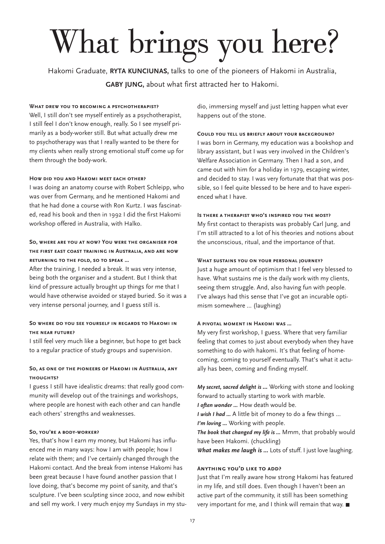# What brings you here?

Hakomi Graduate, **RYTA KUNCIUNAS,** talks to one of the pioneers of Hakomi in Australia, **GABY JUNG,** about what first attracted her to Hakomi.

#### **What drew you to becoming a psychotherapist?**

Well, I still don't see myself entirely as a psychotherapist, I still feel I don't know enough, really. So I see myself primarily as a body-worker still. But what actually drew me to psychotherapy was that I really wanted to be there for my clients when really strong emotional stuff come up for them through the body-work.

#### **How did you and Hakomi meet each other?**

I was doing an anatomy course with Robert Schleipp, who was over from Germany, and he mentioned Hakomi and that he had done a course with Ron Kurtz. I was fascinated, read his book and then in 1992 I did the first Hakomi workshop offered in Australia, with Halko.

#### **So, where are you at now? You were the organiser for the first east coast training in Australia, and are now returning to the fold, so to speak ...**

After the training, I needed a break. It was very intense, being both the organiser and a student. But I think that kind of pressure actually brought up things for me that I would have otherwise avoided or stayed buried. So it was a very intense personal journey, and I guess still is.

#### **So where do you see yourself in regards to Hakomi in the near future?**

I still feel very much like a beginner, but hope to get back to a regular practice of study groups and supervision.

#### **So, as one of the pioneers of Hakomi in Australia, any thoughts?**

I guess I still have idealistic dreams: that really good community will develop out of the trainings and workshops, where people are honest with each other and can handle each others' strengths and weaknesses.

#### **So, you're a body-worker?**

Yes, that's how I earn my money, but Hakomi has influenced me in many ways: how I am with people; how I relate with them; and I've certainly changed through the Hakomi contact. And the break from intense Hakomi has been great because I have found another passion that I love doing, that's become my point of sanity, and that's sculpture. I've been sculpting since 2002, and now exhibit and sell my work. I very much enjoy my Sundays in my studio, immersing myself and just letting happen what ever happens out of the stone.

#### **Could you tell us briefly about your background?**

I was born in Germany, my education was a bookshop and library assistant, but I was very involved in the Children's Welfare Association in Germany. Then I had a son, and came out with him for a holiday in 1979, escaping winter, and decided to stay. I was very fortunate that that was possible, so I feel quite blessed to be here and to have experienced what I have.

#### **Is there a therapist who's inspired you the most?**

My first contact to therapists was probably Carl Jung, and I'm still attracted to a lot of his theories and notions about the unconscious, ritual, and the importance of that.

#### **What sustains you on your personal journey?**

Just a huge amount of optimism that I feel very blessed to have. What sustains me is the daily work with my clients, seeing them struggle. And, also having fun with people. I've always had this sense that I've got an incurable optimism somewhere ... (laughing)

#### **A pivotal moment in Hakomi was ...**

My very first workshop, I guess. Where that very familiar feeling that comes to just about everybody when they have something to do with hakomi. It's that feeling of homecoming, coming to yourself eventually. That's what it actually has been, coming and finding myself.

*My secret, sacred delight is ...* Working with stone and looking forward to actually starting to work with marble. *I often wonder ...* How death would be. *I wish I had ...* A little bit of money to do a few things ... *I'm loving ...* Working with people.

*The book that changed my life is ...* Mmm, that probably would have been Hakomi. (chuckling)

*What makes me laugh is ...* Lots of stuff. I just love laughing.

#### **Anything you'd like to add?**

Just that I'm really aware how strong Hakomi has featured in my life, and still does. Even though I haven't been an active part of the community, it still has been something very important for me, and I think will remain that way.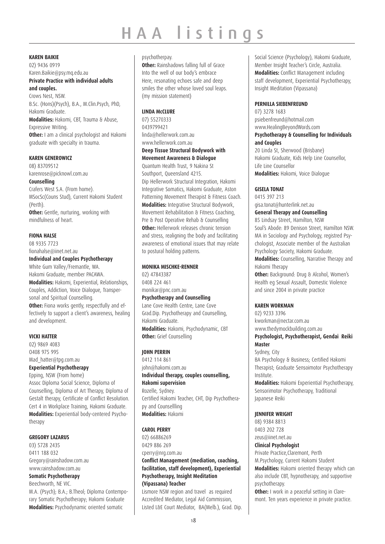# HAA listings

**KAREN BAIKIE**

02) 9436 0919 Karen.Baikie@psy.mq.edu.au **Private Practice with individual adults and couples.** Crows Nest, NSW. B.Sc. (Hons)(Psych), B.A., M.Clin.Psych, PhD, Hakomi Graduate. **Modalities:** Hakomi, CBT, Trauma & Abuse, Expressive Writing. **Other:** I am a clinical psychologist and Hakomi graduate with specialty in trauma.

#### **KAREN GENEROWICZ**

08) 83709512 karenrose@picknowl.com.au

**Counselling**

Crafers West S.A. (From home). MSocSc(Couns Stud), Current Hakomi Student (Perth).

**Other:** Gentle, nurturing, working with mindfulness of heart.

#### **FIONA HALSE**

08 9335 7723 fionahalse@iinet.net.au

#### **Individual and Couples Psychotherapy**

White Gum Valley/Fremantle, WA. Hakomi Graduate, member PACAWA. **Modalities:** Hakomi, Experiential, Relationships, Couples, Addiction, Voice Dialogue, Transpersonal and Spiritual Counselling. **Other:** Fiona works gently, respectfully and effectively to support a client's awareness, healing and development.

#### **VICKI HATTER**

02) 9869 4083 O408 975 995 Mad\_hatter@tpg.com.au **Experiential Psychotherapy**

Epping, NSW (From home) Assoc Diploma Social Science, Diploma of Counselling, Diploma of Art Therapy, Diploma of Gestalt therapy, Certificate of Conflict Resolution. Cert 4 in Workplace Training, Hakomi Graduate. **Modalities:** Experiential body-centered Psychotherapy

#### **GREGORY LAZARUS**

03) 5728 2435 0411 188 032 Gregory@rainshadow.com.au www.rainshadow.com.au

#### **Somatic Psychotherapy**

Beechworth, NE VIC.

M.A. (Psych); B.A.; B.Theol; Diploma Contemporary Somatic Psychotherapy; Hakomi Graduate **Modalities:** Psychodynamic oriented somatic

#### psychotherpay.

**Other:** Rainshadows falling full of Grace Into the well of our body's embrace Here, resonating echoes safe and deep smiles the other whose loved soul leaps. (my mission statement)

#### **LINDA McCLURE**

07) 55270333 0439799421 linda@hellerwork.com.au www.hellerwork.com.au **Deep Tissue Structural Bodywork with** 

**Movement Awareness & Dialogue**

Quantum Health Trust, 9 Nakina St Southport, Queensland 4215. Dip Hellerwork Structural Integration, Hakomi Integrative Somatics, Hakomi Graduate, Aston Patterning Movement Therapist & Fitness Coach. **Modalities:** Integrative Structural Bodywork, Movement Rehabilitation & Fitness Coaching, Pre & Post Operative Rehab & Counselling **Other:** Hellerwork releases chronic tension and stress, realigning the body and facilitating awareness of emotional issues that may relate to postural holding patterns.

#### **MONIKA MISCHKE-RENNER**

02) 47843387 0408 224 461 monikar@pnc.com.au **Psychotherapy and Counselling** Lane Cove Health Centre, Lane Cove Grad.Dip. Psychotherapy and Counselling, Hakomi Graduate. **Modalities:** Hakomi, Psychodynamic, CBT

#### **JOHN PERRIN**

**Other:** Grief Counselling

0412 114 861 john@hakomi.com.au **Individual therapy, couples counselling, Hakomi supervision** Rozelle, Sydney. Certified Hakomi Teacher, CHT, Dip Psychotherapy and Counsellling **Modalities:** Hakomi

#### **CAROL PERRY**

02) 66886269 0429 886 269 cperry@nrg.com.au **Conflict Management (mediation, coaching, facilitation, staff development), Experiential Psychotherapy, Insight Meditation (Vipassana) Teacher**

Lismore NSW region and travel as required Accredited Mediator, Legal Aid Commission, Listed L&E Court Mediator, BA(Melb.), Grad. Dip. Social Science (Psychology), Hakomi Graduate, Member Insight Teacher's Circle, Australia. **Modalities:** Conflict Management including staff development, Experiential Psychotherapy, Insight Meditation (Vipassana)

#### **PERNILLA SIEBENFREUND**

07) 3278 1683 psiebenfreund@hotmail.com www.HealingBeyondWords.com

#### **Psychotherapy & Counselling for Individuals and Couples**

20 Linda St, Sherwood (Brisbane) Hakomi Graduate, Kids Help Line Counsellor, Life Line Counsellor **Modalities:** Hakomi, Voice Dialogue

#### **GISELA TONAT**

0415 397 213 gisa.tonat@hunterlink.net.au

#### **General Therapy and Counselling**

85 Lindsay Street, Hamilton, NSW Soul's Abode: 89 Denison Street, Hamilton NSW. MA in Sociology and Psychology, registred Psychologist, Associate member of the Australian Psychology Society, Hakomi Graduate. **Modalities:** Counselling, Narrative Therapy and

Hakomi Therapy **Other:** Background: Drug & Alcohol, Women's Health eg Sexual Assault, Domestic Violence and since 2004 in private practice

#### **KAREN WORKMAN**

02) 9233 3396 kworkman@nectar.com.au www.thedymockbuilding.com.au

#### **Psychologist, Psychotherapist, Gendai Reiki Master**

Sydney, City

BA Psychology & Business; Certified Hakomi Therapist; Graduate Sensoimotor Psychotherapy Institute.

**Modalities:** Hakomi Experiential Psychotherapy, Sensorimotor Psychotherapy, Traditional Japanese Reiki

#### **JENNIFER WRIGHT**

08) 9384 8813 0403 202 728 zeus@iinet.net.au

#### **Clinical Psychologist**

Private Practice,Claremont, Perth M.Psychology, Current Hakomi Student **Modalities:** Hakomi oriented therapy which can also include CBT, hypnotherapy, and supportive psychotherapy.

**Other:** I work in a peaceful setting in Claremont. Ten years experience in private practice.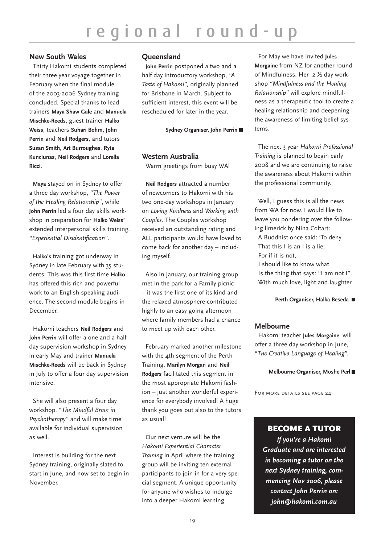#### **New South Wales**

 Thirty Hakomi students completed their three year voyage together in February when the final module of the 2003-2006 Sydney training concluded. Special thanks to lead trainers **Maya Shaw Gale** and **Manuela Mischke-Reeds**, guest trainer **Halko Weiss**, teachers **Suhari Bohm**, **John Perrin** and **Neil Rodgers**, and tutors **Susan Smith**, **Art Burroughes**, **Ryta Kunciunas**, **Neil Rodgers** and **Lorella Ricci**.

**Maya** stayed on in Sydney to offer a three day workshop, *"The Power of the Healing Relationship"*, while **John Perrin** led a four day skills workshop in preparation for **Halko Weiss'** extended interpersonal skills training, *"Experiential Disidentification"*.

**Halko's** training got underway in Sydney in late February with 35 students. This was this first time **Halko** has offered this rich and powerful work to an English-speaking audience. The second module begins in December.

Hakomi teachers **Neil Rodgers** and J**ohn Perrin** will offer a one and a half day supervision workshop in Sydney in early May and trainer **Manuela Mischke-Reeds** will be back in Sydney in July to offer a four day supervision intensive.

She will also present a four day workshop, "*The Mindful Brain in Psychotherapy"* and will make time available for individual supervision as well.

Interest is building for the next Sydney training, originally slated to start in June, and now set to begin in November.

#### **Queensland**

**John Perrin** postponed a two and a half day introductory workshop, *"A Taste of Hakomi",* originally planned for Brisbane in March. Subject to sufficient interest, this event will be rescheduled for later in the year.

**Sydney Organiser, John Perrin**

#### **Western Australia**

Warm greetings from busy WA!

**Neil Rodgers** attracted a number of newcomers to Hakomi with his two one-day workshops in January on *Loving Kindness* and *Working with Couples*. The Couples workshop received an outstanding rating and ALL participants would have loved to come back for another day – including myself.

Also in January, our training group met in the park for a Family picnic – it was the first one of its kind and the relaxed atmosphere contributed highly to an easy going afternoon where family members had a chance to meet up with each other.

February marked another milestone with the 4th segment of the Perth Training. **Marilyn Morgan** and **Neil Rodgers** facilitated this segment in the most appropriate Hakomi fashion – just another wonderful experience for everybody involved! A huge thank you goes out also to the tutors as usual!

Our next venture will be the *Hakomi Experiential Character Training* in April where the training group will be inviting ten external participants to join in for a very special segment. A unique opportunity for anyone who wishes to indulge into a deeper Hakomi learning.

For May we have invited **Jules Morgaine** from NZ for another round of Mindfulness. Her 2 ½ day workshop *"Mindfulness and the Healing Relationship"* will explore mindfulness as a therapeutic tool to create a healing relationship and deepening the awareness of limiting belief systems.

The next 3 year *Hakomi Professional Training* is planned to begin early 2008 and we are continuing to raise the awareness about Hakomi within the professional community.

Well, I guess this is all the news from WA for now. I would like to leave you pondering over the following limerick by Nina Coltart: A Buddhist once said: 'To deny That this I is an I is a lie; For if it is not, I should like to know what Is the thing that says: "I am not I". With much love, light and laughter

#### **Perth Organiser, Halka Beseda**

#### **Melbourne**

Hakomi teacher **Jules Morgaine** will offer a three day workshop in June, "*The Creative Language of Healing".*

#### **Melbourne Organiser, Moshe Perl**

FOR MORE DETAILS SEE PAGE 24

### BECOME A TUTOR

*If you're a Hakomi Graduate and are interested in becoming a tutor on the next Sydney training, commencing Nov 2006, please contact John Perrin on: john@hakomi.com.au*